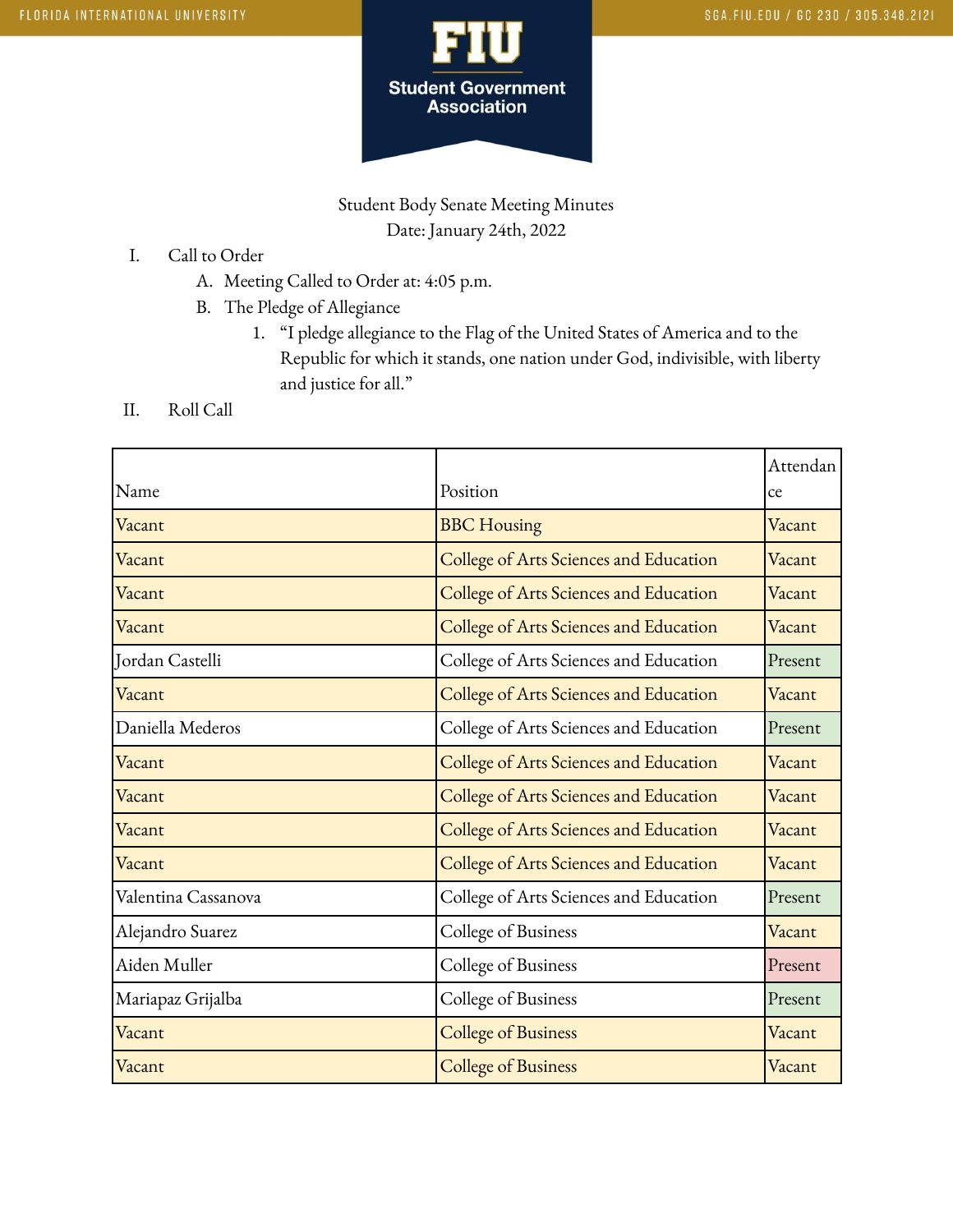

Student Body Senate Meeting Minutes Date: January 24th, 2022

- I. Call to Order
	- A. Meeting Called to Order at: 4:05 p.m.
	- B. The Pledge of Allegiance
		- 1. "I pledge allegiance to the Flag of the United States of America and to the Republic for which it stands, one nation under God, indivisible, with liberty and justice for all."
- II. Roll Call

|                     |                                        | Attendan |
|---------------------|----------------------------------------|----------|
| Name                | Position                               | ce       |
| Vacant              | <b>BBC</b> Housing                     | Vacant   |
| Vacant              | College of Arts Sciences and Education | Vacant   |
| Vacant              | College of Arts Sciences and Education | Vacant   |
| Vacant              | College of Arts Sciences and Education | Vacant   |
| Jordan Castelli     | College of Arts Sciences and Education | Present  |
| Vacant              | College of Arts Sciences and Education | Vacant   |
| Daniella Mederos    | College of Arts Sciences and Education | Present  |
| Vacant              | College of Arts Sciences and Education | Vacant   |
| Vacant              | College of Arts Sciences and Education | Vacant   |
| Vacant              | College of Arts Sciences and Education | Vacant   |
| Vacant              | College of Arts Sciences and Education | Vacant   |
| Valentina Cassanova | College of Arts Sciences and Education | Present  |
| Alejandro Suarez    | College of Business                    | Vacant   |
| Aiden Muller        | College of Business                    | Present  |
| Mariapaz Grijalba   | College of Business                    | Present  |
| Vacant              | <b>College of Business</b>             | Vacant   |
| Vacant              | <b>College of Business</b>             | Vacant   |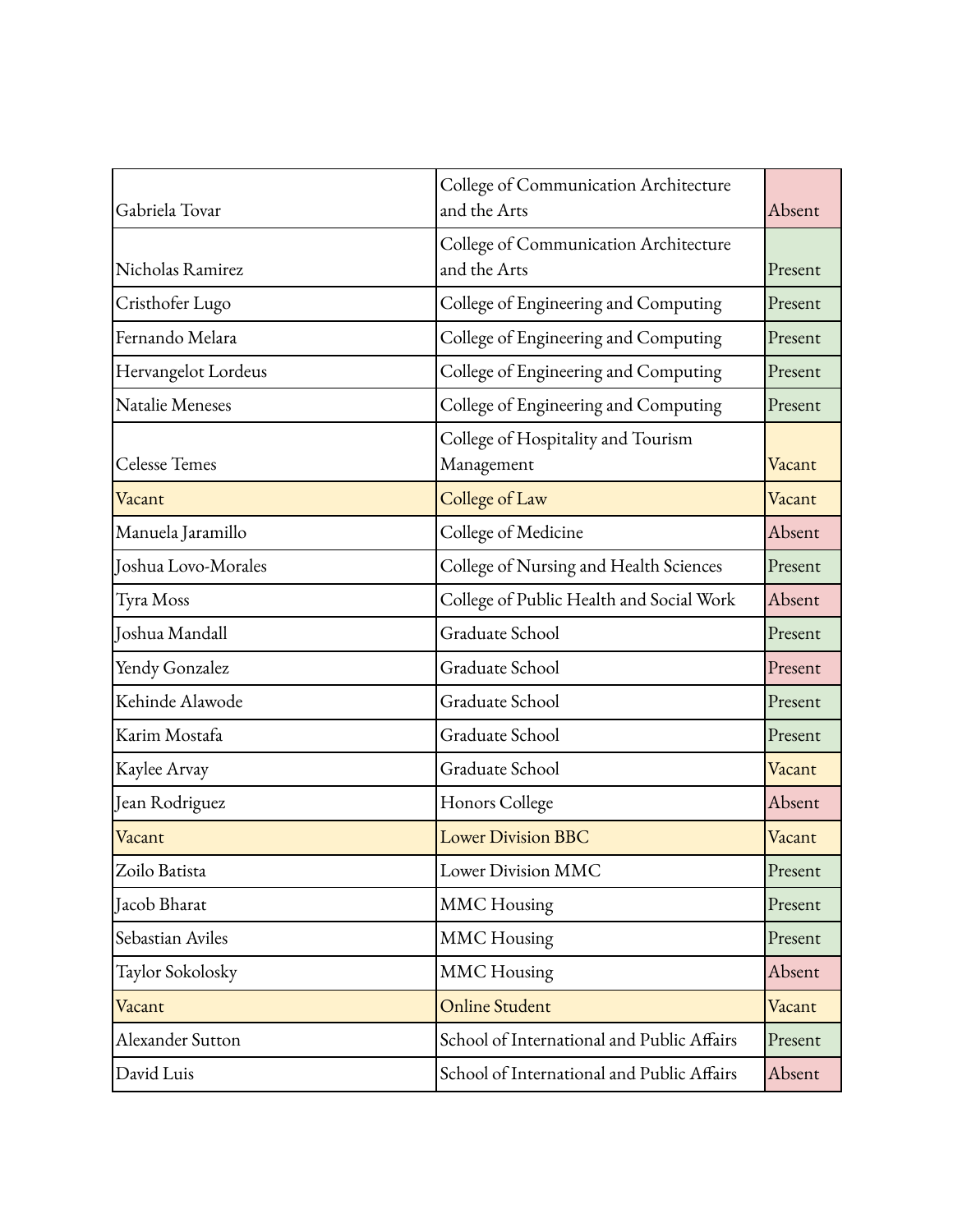| Gabriela Tovar       | College of Communication Architecture<br>and the Arts | Absent  |
|----------------------|-------------------------------------------------------|---------|
| Nicholas Ramirez     | College of Communication Architecture<br>and the Arts | Present |
| Cristhofer Lugo      | College of Engineering and Computing                  | Present |
| Fernando Melara      | College of Engineering and Computing                  | Present |
| Hervangelot Lordeus  | College of Engineering and Computing                  | Present |
| Natalie Meneses      | College of Engineering and Computing                  | Present |
| <b>Celesse Temes</b> | College of Hospitality and Tourism<br>Management      | Vacant  |
| Vacant               | College of Law                                        | Vacant  |
| Manuela Jaramillo    | College of Medicine                                   | Absent  |
| Joshua Lovo-Morales  | College of Nursing and Health Sciences                | Present |
| Tyra Moss            | College of Public Health and Social Work              | Absent  |
| Joshua Mandall       | Graduate School                                       | Present |
| Yendy Gonzalez       | Graduate School                                       | Present |
| Kehinde Alawode      | Graduate School                                       | Present |
| Karim Mostafa        | Graduate School                                       | Present |
| Kaylee Arvay         | Graduate School                                       | Vacant  |
| Jean Rodriguez       | Honors College                                        | Absent  |
| Vacant               | <b>Lower Division BBC</b>                             | Vacant  |
| Zoilo Batista        | Lower Division MMC                                    | Present |
| Jacob Bharat         | <b>MMC</b> Housing                                    | Present |
| Sebastian Aviles     | <b>MMC</b> Housing                                    | Present |
| Taylor Sokolosky     | <b>MMC</b> Housing                                    | Absent  |
| Vacant               | Online Student                                        | Vacant  |
| Alexander Sutton     | School of International and Public Affairs            | Present |
| David Luis           | School of International and Public Affairs            | Absent  |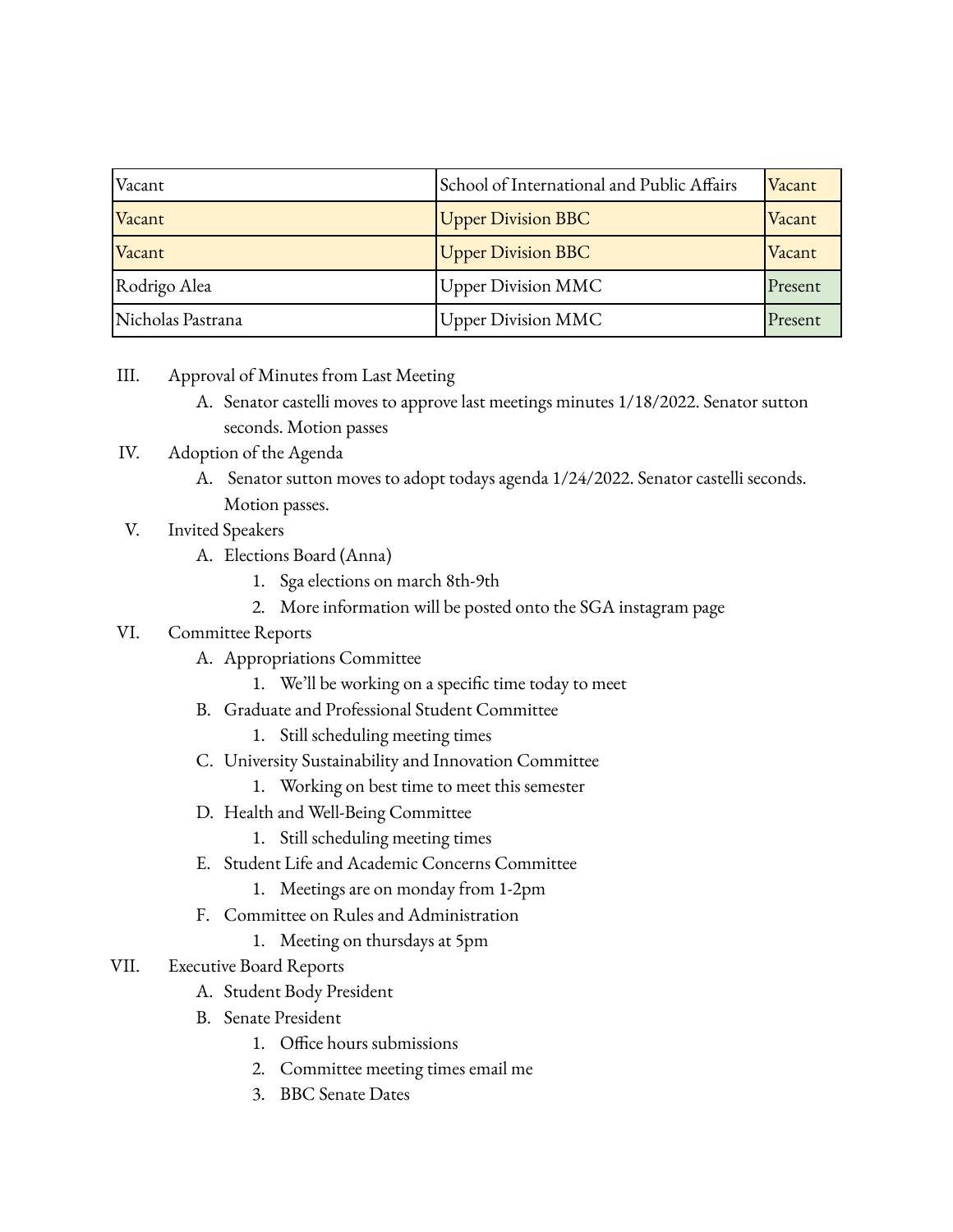| Vacant            | School of International and Public Affairs | Vacant  |
|-------------------|--------------------------------------------|---------|
| Vacant            | <b>Upper Division BBC</b>                  | Vacant  |
| Vacant            | <b>Upper Division BBC</b>                  | Vacant  |
| Rodrigo Alea      | <b>Upper Division MMC</b>                  | Present |
| Nicholas Pastrana | <b>Upper Division MMC</b>                  | Present |

- III. Approval of Minutes from Last Meeting
	- A. Senator castelli moves to approve last meetings minutes 1/18/2022. Senator sutton seconds. Motion passes
- IV. Adoption of the Agenda
	- A. Senator sutton moves to adopt todays agenda 1/24/2022. Senator castelli seconds. Motion passes.
- V. Invited Speakers
	- A. Elections Board (Anna)
		- 1. Sga elections on march 8th-9th
		- 2. More information will be posted onto the SGA instagram page

## VI. Committee Reports

- A. Appropriations Committee
	- 1. We'll be working on a specific time today to meet
- B. Graduate and Professional Student Committee
	- 1. Still scheduling meeting times
- C. University Sustainability and Innovation Committee
	- 1. Working on best time to meet this semester
- D. Health and Well-Being Committee
	- 1. Still scheduling meeting times
- E. Student Life and Academic Concerns Committee
	- 1. Meetings are on monday from 1-2pm
- F. Committee on Rules and Administration
	- 1. Meeting on thursdays at 5pm
- VII. Executive Board Reports
	- A. Student Body President
	- B. Senate President
		- 1. Office hours submissions
		- 2. Committee meeting times email me
		- 3. BBC Senate Dates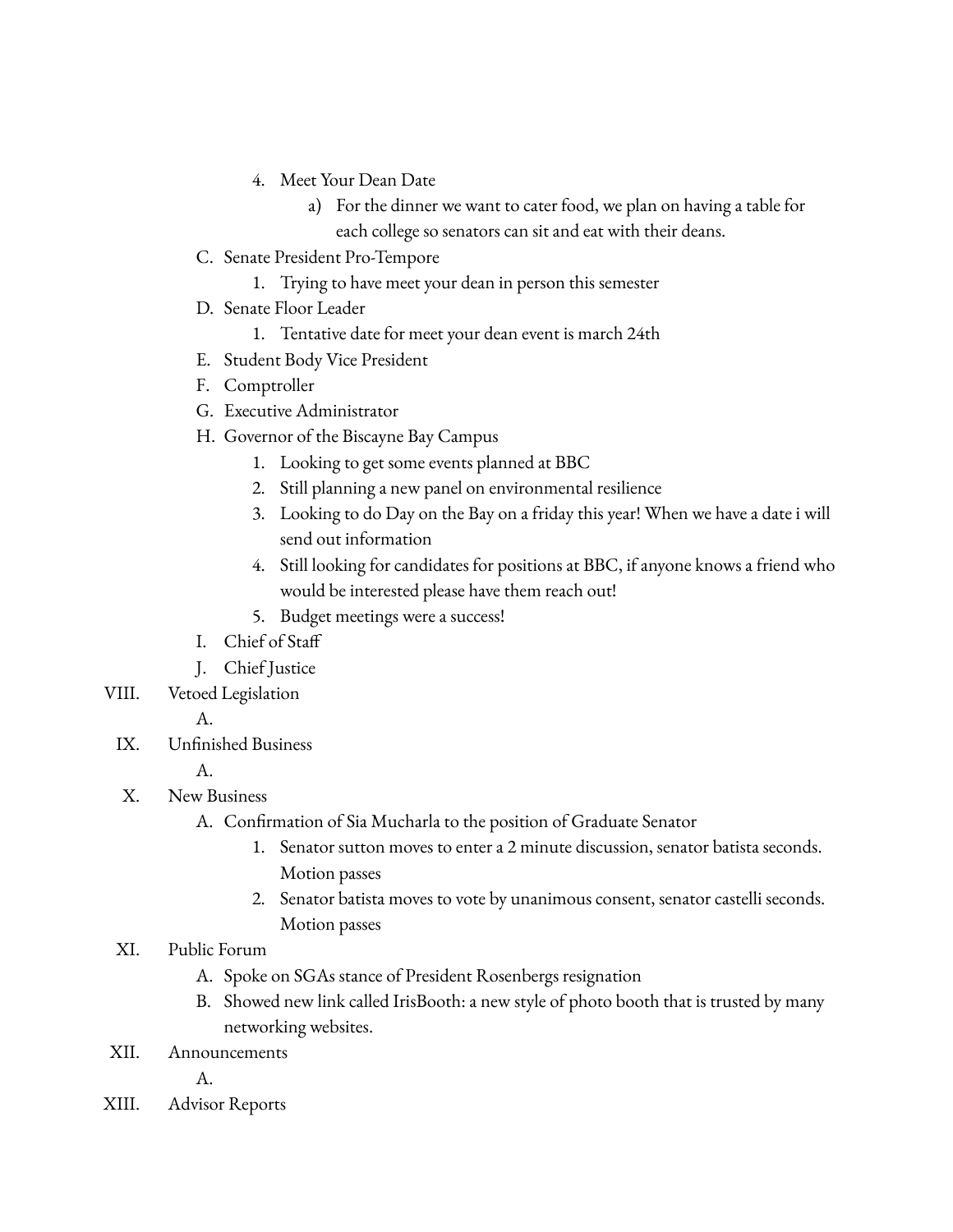- 4. Meet Your Dean Date
	- a) For the dinner we want to cater food, we plan on having a table for each college so senators can sit and eat with their deans.
- C. Senate President Pro-Tempore
	- 1. Trying to have meet your dean in person this semester
- D. Senate Floor Leader
	- 1. Tentative date for meet your dean event is march 24th
- E. Student Body Vice President
- F. Comptroller
- G. Executive Administrator
- H. Governor of the Biscayne Bay Campus
	- 1. Looking to get some events planned at BBC
	- 2. Still planning a new panel on environmental resilience
	- 3. Looking to do Day on the Bay on a friday this year! When we have a date i will send out information
	- 4. Still looking for candidates for positions at BBC, if anyone knows a friend who would be interested please have them reach out!
	- 5. Budget meetings were a success!
- I. Chief of Staff
- J. Chief Justice
- VIII. Vetoed Legislation

A.

IX. Unfinished Business

A.

- X. New Business
	- A. Confirmation of Sia Mucharla to the position of Graduate Senator
		- 1. Senator sutton moves to enter a 2 minute discussion, senator batista seconds. Motion passes
		- 2. Senator batista moves to vote by unanimous consent, senator castelli seconds. Motion passes

## XI. Public Forum

- A. Spoke on SGAs stance of President Rosenbergs resignation
- B. Showed new link called IrisBooth: a new style of photo booth that is trusted by many networking websites.
- XII. Announcements

A.

XIII. Advisor Reports